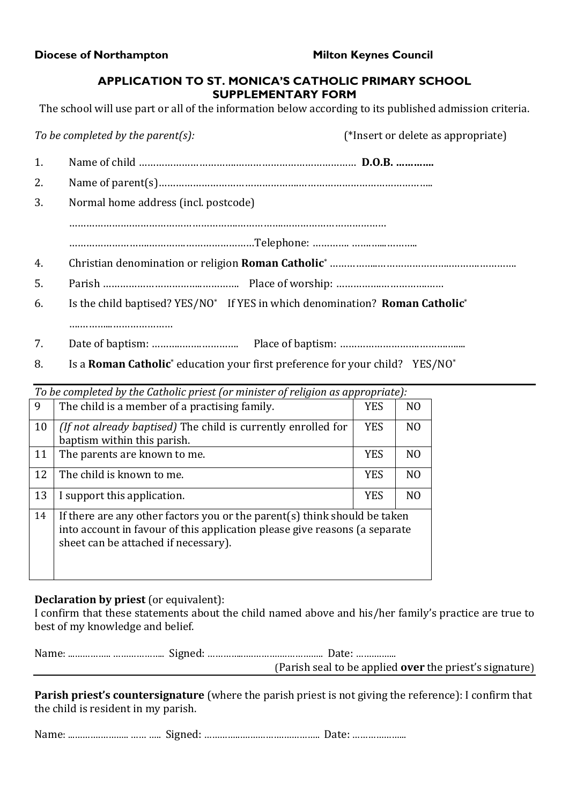**Diocese of Northampton Milton Keynes Council** 

## **APPLICATION TO ST. MONICA'S CATHOLIC PRIMARY SCHOOL SUPPLEMENTARY FORM**

The school will use part or all of the information below according to its published admission criteria.

|    | To be completed by the parent(s):                                                                                                                                                                                                                                                                                                  | (*Insert or delete as appropriate) |
|----|------------------------------------------------------------------------------------------------------------------------------------------------------------------------------------------------------------------------------------------------------------------------------------------------------------------------------------|------------------------------------|
| 1. |                                                                                                                                                                                                                                                                                                                                    |                                    |
| 2. |                                                                                                                                                                                                                                                                                                                                    |                                    |
| 3. | Normal home address (incl. postcode)                                                                                                                                                                                                                                                                                               |                                    |
|    |                                                                                                                                                                                                                                                                                                                                    |                                    |
|    |                                                                                                                                                                                                                                                                                                                                    |                                    |
| 4. |                                                                                                                                                                                                                                                                                                                                    |                                    |
| 5. |                                                                                                                                                                                                                                                                                                                                    |                                    |
| 6. | Is the child baptised? YES/NO* If YES in which denomination? Roman Catholic*                                                                                                                                                                                                                                                       |                                    |
|    |                                                                                                                                                                                                                                                                                                                                    |                                    |
| 7. |                                                                                                                                                                                                                                                                                                                                    |                                    |
|    | $\mathbf{r}$ $\mathbf{r}$ $\mathbf{r}$ $\mathbf{r}$ $\mathbf{r}$ $\mathbf{r}$ $\mathbf{r}$ $\mathbf{r}$ $\mathbf{r}$ $\mathbf{r}$ $\mathbf{r}$ $\mathbf{r}$ $\mathbf{r}$ $\mathbf{r}$ $\mathbf{r}$ $\mathbf{r}$ $\mathbf{r}$ $\mathbf{r}$ $\mathbf{r}$ $\mathbf{r}$ $\mathbf{r}$ $\mathbf{r}$ $\mathbf{r}$ $\mathbf{r}$ $\mathbf{$ |                                    |

| Is a <b>Roman Catholic</b> <sup>*</sup> education your first preference for your child? YES/NO <sup>*</sup> |  |  |
|-------------------------------------------------------------------------------------------------------------|--|--|
|                                                                                                             |  |  |

| To be completed by the Catholic priest (or minister of religion as appropriate): |                                                                                                                                                                                                 |            |                |  |
|----------------------------------------------------------------------------------|-------------------------------------------------------------------------------------------------------------------------------------------------------------------------------------------------|------------|----------------|--|
| 9                                                                                | The child is a member of a practising family.                                                                                                                                                   |            | N <sub>O</sub> |  |
| 10                                                                               | (If not already baptised) The child is currently enrolled for<br>baptism within this parish.                                                                                                    | <b>YES</b> | N <sub>O</sub> |  |
| 11                                                                               | The parents are known to me.                                                                                                                                                                    | <b>YES</b> | N <sub>O</sub> |  |
| 12                                                                               | The child is known to me.                                                                                                                                                                       | <b>YES</b> | N <sub>O</sub> |  |
| 13                                                                               | I support this application.                                                                                                                                                                     | <b>YES</b> | N <sub>O</sub> |  |
| 14                                                                               | If there are any other factors you or the parent(s) think should be taken<br>into account in favour of this application please give reasons (a separate<br>sheet can be attached if necessary). |            |                |  |

## **Declaration by priest** (or equivalent):

I confirm that these statements about the child named above and his/her family's practice are true to best of my knowledge and belief.

|  | (Parish seal to be applied <b>over</b> the priest's signature) |
|--|----------------------------------------------------------------|

**Parish priest's countersignature** (where the parish priest is not giving the reference): I confirm that the child is resident in my parish.

Name:\$...……….………..\$……\$…..\$\$Signed:\$…………..….………….…………..\$\$Date:\$………………...